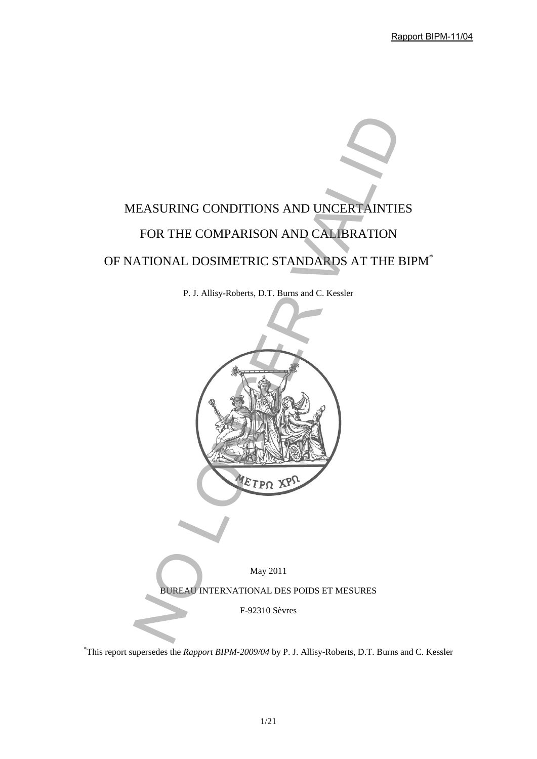Rapport BIPM-11/04



P. J. Allisy-Roberts, D.T. Burns and C. Kessler



\*This report supersedes the *Rapport BIPM-2009/04* by P. J. Allisy-Roberts, D.T. Burns and C. Kessler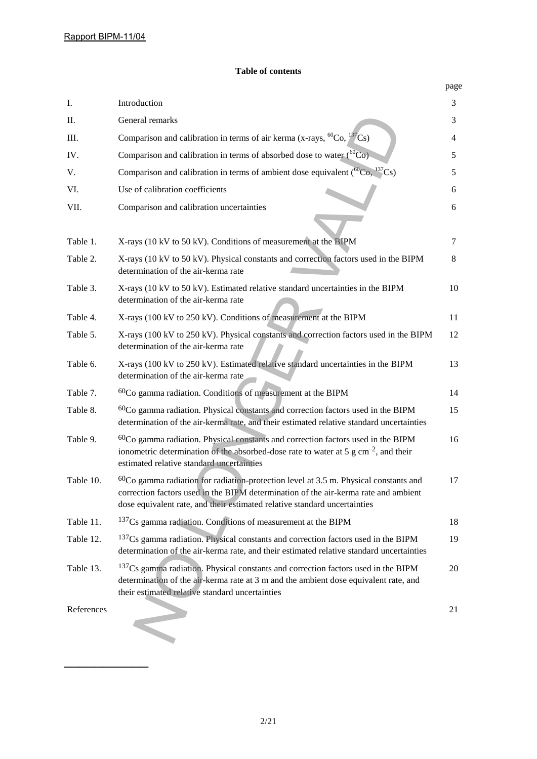#### **Table of contents**

|            |                                                                                                                                                                                                                                                            | page |
|------------|------------------------------------------------------------------------------------------------------------------------------------------------------------------------------------------------------------------------------------------------------------|------|
| I.         | Introduction                                                                                                                                                                                                                                               | 3    |
| П.         | General remarks                                                                                                                                                                                                                                            | 3    |
| III.       | Comparison and calibration in terms of air kerma (x-rays, ${}^{60}Co$ , ${}^{137}Cs$ )                                                                                                                                                                     | 4    |
| IV.        | Comparison and calibration in terms of absorbed dose to water (60Co)                                                                                                                                                                                       | 5    |
| V.         | Comparison and calibration in terms of ambient dose equivalent ( ${}^{60}Co$ , ${}^{137}Cs$ )                                                                                                                                                              | 5    |
| VI.        | Use of calibration coefficients                                                                                                                                                                                                                            | 6    |
| VII.       | Comparison and calibration uncertainties                                                                                                                                                                                                                   | 6    |
| Table 1.   | X-rays (10 kV to 50 kV). Conditions of measurement at the BIPM                                                                                                                                                                                             | 7    |
| Table 2.   | X-rays (10 kV to 50 kV). Physical constants and correction factors used in the BIPM<br>determination of the air-kerma rate                                                                                                                                 | 8    |
| Table 3.   | X-rays (10 kV to 50 kV). Estimated relative standard uncertainties in the BIPM<br>determination of the air-kerma rate                                                                                                                                      | 10   |
| Table 4.   | X-rays (100 kV to 250 kV). Conditions of measurement at the BIPM                                                                                                                                                                                           | 11   |
| Table 5.   | X-rays (100 kV to 250 kV). Physical constants and correction factors used in the BIPM<br>determination of the air-kerma rate                                                                                                                               | 12   |
| Table 6.   | X-rays (100 kV to 250 kV). Estimated relative standard uncertainties in the BIPM<br>determination of the air-kerma rate                                                                                                                                    | 13   |
| Table 7.   | 60Co gamma radiation. Conditions of measurement at the BIPM                                                                                                                                                                                                | 14   |
| Table 8.   | $60Co$ gamma radiation. Physical constants and correction factors used in the BIPM<br>determination of the air-kerma rate, and their estimated relative standard uncertainties                                                                             | 15   |
| Table 9.   | 60Co gamma radiation. Physical constants and correction factors used in the BIPM<br>ionometric determination of the absorbed-dose rate to water at 5 $\text{g cm}^{-2}$ , and their<br>estimated relative standard uncertainties                           | 16   |
| Table 10.  | $60Co$ gamma radiation for radiation-protection level at 3.5 m. Physical constants and<br>correction factors used in the BIPM determination of the air-kerma rate and ambient<br>dose equivalent rate, and their estimated relative standard uncertainties | 17   |
| Table 11.  | $137Cs$ gamma radiation. Conditions of measurement at the BIPM                                                                                                                                                                                             | 18   |
| Table 12.  | <sup>137</sup> Cs gamma radiation. Physical constants and correction factors used in the BIPM<br>determination of the air-kerma rate, and their estimated relative standard uncertainties                                                                  | 19   |
| Table 13.  | $137Cs$ gamma radiation. Physical constants and correction factors used in the BIPM<br>determination of the air-kerma rate at 3 m and the ambient dose equivalent rate, and<br>their estimated relative standard uncertainties                             | 20   |
| References |                                                                                                                                                                                                                                                            | 21   |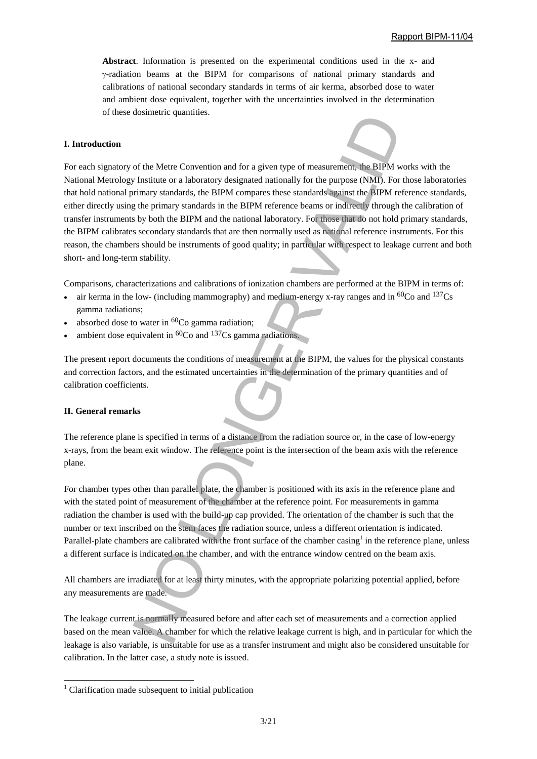**Abstract**. Information is presented on the experimental conditions used in the x- and -radiation beams at the BIPM for comparisons of national primary standards and calibrations of national secondary standards in terms of air kerma, absorbed dose to water and ambient dose equivalent, together with the uncertainties involved in the determination of these dosimetric quantities.

#### **I. Introduction**

For each signatory of the Metre Convention and for a given type of measurement, the BIPM works with the National Metrology Institute or a laboratory designated nationally for the purpose (NMI). For those laboratories that hold national primary standards, the BIPM compares these standards against the BIPM reference standards, either directly using the primary standards in the BIPM reference beams or indirectly through the calibration of transfer instruments by both the BIPM and the national laboratory. For those that do not hold primary standards, the BIPM calibrates secondary standards that are then normally used as national reference instruments. For this reason, the chambers should be instruments of good quality; in particular with respect to leakage current and both short- and long-term stability. of the Mictue Convention and for a given type of measurement, the BIPM v<br>
Institute or a historiate of a given type of measurement, the BIPM<br>
Institute or a historical chain compares these standards against the BIPM<br>
ordin

Comparisons, characterizations and calibrations of ionization chambers are performed at the BIPM in terms of:

- air kerma in the low- (including mammography) and medium-energy x-ray ranges and in <sup>60</sup>Co and <sup>137</sup>Cs gamma radiations;
- absorbed dose to water in  ${}^{60}Co$  gamma radiation;
- ambient dose equivalent in <sup>60</sup>Co and <sup>137</sup>Cs gamma radiations.

The present report documents the conditions of measurement at the BIPM, the values for the physical constants and correction factors, and the estimated uncertainties in the determination of the primary quantities and of calibration coefficients.

#### **II. General remarks**

 $\overline{a}$ 

The reference plane is specified in terms of a distance from the radiation source or, in the case of low-energy x-rays, from the beam exit window. The reference point is the intersection of the beam axis with the reference plane.

For chamber types other than parallel plate, the chamber is positioned with its axis in the reference plane and with the stated point of measurement of the chamber at the reference point. For measurements in gamma radiation the chamber is used with the build-up cap provided. The orientation of the chamber is such that the number or text inscribed on the stem faces the radiation source, unless a different orientation is indicated. Parallel-plate chambers are calibrated with the front surface of the chamber casing<sup>1</sup> in the reference plane, unless a different surface is indicated on the chamber, and with the entrance window centred on the beam axis.

All chambers are irradiated for at least thirty minutes, with the appropriate polarizing potential applied, before any measurements are made.

The leakage current is normally measured before and after each set of measurements and a correction applied based on the mean value. A chamber for which the relative leakage current is high, and in particular for which the leakage is also variable, is unsuitable for use as a transfer instrument and might also be considered unsuitable for calibration. In the latter case, a study note is issued.

 $1$  Clarification made subsequent to initial publication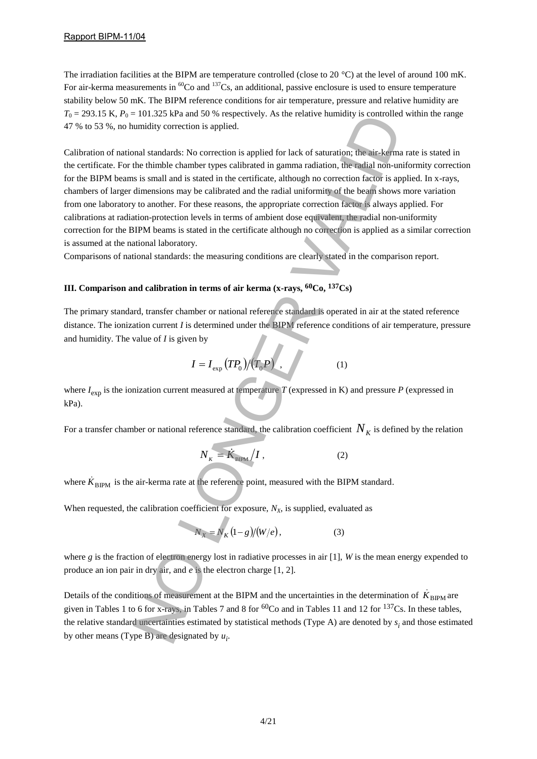#### Rapport BIPM-11/04

The irradiation facilities at the BIPM are temperature controlled (close to 20 °C) at the level of around 100 mK. For air-kerma measurements in  ${}^{60}Co$  and  ${}^{137}Cs$ , an additional, passive enclosure is used to ensure temperature stability below 50 mK. The BIPM reference conditions for air temperature, pressure and relative humidity are  $T_0 = 293.15$  K,  $P_0 = 101.325$  kPa and 50 % respectively. As the relative humidity is controlled within the range 47 % to 53 %, no humidity correction is applied.

Calibration of national standards: No correction is applied for lack of saturation; the air-kerma rate is stated in the certificate. For the thimble chamber types calibrated in gamma radiation, the radial non-uniformity correction for the BIPM beams is small and is stated in the certificate, although no correction factor is applied. In x-rays, chambers of larger dimensions may be calibrated and the radial uniformity of the beam shows more variation from one laboratory to another. For these reasons, the appropriate correction factor is always applied. For calibrations at radiation-protection levels in terms of ambient dose equivalent, the radial non-uniformity correction for the BIPM beams is stated in the certificate although no correction is applied as a similar correction is assumed at the national laboratory. a and 50 % respectively. As the relative numberly is confluence extint as SN correction is applied for lack of saturation; the air-kerm<br>
section is applied in gamma radiation, the air-kerm<br>
shared in the certificate, alth

Comparisons of national standards: the measuring conditions are clearly stated in the comparison report.

### **III. Comparison and calibration in terms of air kerma (x-rays, 60Co, 137Cs)**

The primary standard, transfer chamber or national reference standard is operated in air at the stated reference distance. The ionization current *I* is determined under the BIPM reference conditions of air temperature, pressure and humidity. The value of *I* is given by

$$
I = I_{\exp} (T P_0) / (T_0 P) , \qquad (1)
$$

where  $I_{\text{exp}}$  is the ionization current measured at temperature *T* (expressed in K) and pressure *P* (expressed in kPa).

For a transfer chamber or national reference standard, the calibration coefficient  $\,_{K}$  is defined by the relation

$$
N_{K} = \dot{K}_{\text{BIPM}} \Big/ I \,, \tag{2}
$$

where  $\dot{K}_{\text{BIPM}}$  is the air-kerma rate at the reference point, measured with the BIPM standard.

When requested, the calibration coefficient for exposure,  $N_X$ , is supplied, evaluated as

$$
N_X = N_K \left(1 - g\right) / \left(W/e\right),\tag{3}
$$

where *g* is the fraction of electron energy lost in radiative processes in air [1], *W* is the mean energy expended to produce an ion pair in dry air, and *e* is the electron charge [1, 2].

Details of the conditions of measurement at the BIPM and the uncertainties in the determination of  $\dot{K}_{\text{BIPM}}$  are given in Tables 1 to 6 for x-rays, in Tables 7 and 8 for <sup>60</sup>Co and in Tables 11 and 12 for <sup>137</sup>Cs. In these tables, the relative standard uncertainties estimated by statistical methods (Type A) are denoted by  $s_i$  and those estimated by other means (Type B) are designated by *u<sup>i</sup>* . ion of electron energy lost<br>
in dry air, and *e* is the electrons of measurement at the<br>
itions of measurement at the<br>
of for x-rays, in Tables 7<br>
d uncertainties estimated by  $u_1$ <br>
pe B) are designated by  $u_2$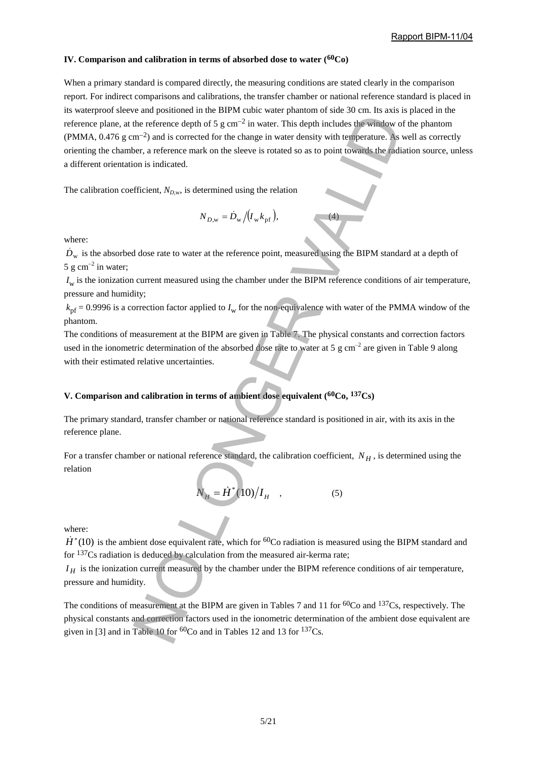#### **IV. Comparison and calibration in terms of absorbed dose to water (60Co)**

When a primary standard is compared directly, the measuring conditions are stated clearly in the comparison report. For indirect comparisons and calibrations, the transfer chamber or national reference standard is placed in its waterproof sleeve and positioned in the BIPM cubic water phantom of side 30 cm. Its axis is placed in the reference plane, at the reference depth of 5 g  $cm^{-2}$  in water. This depth includes the window of the phantom  $(PMMA, 0.476 \text{ g cm}^{-2})$  and is corrected for the change in water density with temperature. As well as correctly orienting the chamber, a reference mark on the sleeve is rotated so as to point towards the radiation source, unless a different orientation is indicated. depth of 5 g cm<sup>-2</sup> in water. This depth includes the window of<br>corrected for the change in water. This depth includes the window of<br>corrected for the change in water density with temperature. As<br>icc mark on the sleeve is

The calibration coefficient,  $N_{D,w}$ , is determined using the relation

$$
N_{D,w} = D_w / (I_w k_{\text{pf}}),
$$

where:

 $\dot{D}_{\rm w}$  is the absorbed dose rate to water at the reference point, measured using the BIPM standard at a depth of 5 g cm<sup> $-2$ </sup> in water;

 $(4)$ 

 $I_w$  is the ionization current measured using the chamber under the BIPM reference conditions of air temperature, pressure and humidity;

 $k_{\text{pf}} = 0.9996$  is a correction factor applied to  $I_{\text{w}}$  for the non-equivalence with water of the PMMA window of the phantom.

The conditions of measurement at the BIPM are given in Table 7. The physical constants and correction factors used in the ionometric determination of the absorbed dose rate to water at 5 g cm<sup>-2</sup> are given in Table 9 along with their estimated relative uncertainties.

#### **V. Comparison and calibration in terms of ambient dose equivalent (60Co, 137Cs)**

The primary standard, transfer chamber or national reference standard is positioned in air, with its axis in the reference plane.

For a transfer chamber or national reference standard, the calibration coefficient,  $N_H$ , is determined using the relation

$$
N_H = \dot{H}^*(10)/I_H \quad , \tag{5}
$$

where:

 $\dot{H}^*(10)$  is the ambient dose equivalent rate, which for <sup>60</sup>Co radiation is measured using the BIPM standard and for 137Cs radiation is deduced by calculation from the measured air-kerma rate;

*I*<sub>H</sub> is the ionization current measured by the chamber under the BIPM reference conditions of air temperature, pressure and humidity.

The conditions of measurement at the BIPM are given in Tables 7 and 11 for <sup>60</sup>Co and <sup>137</sup>Cs, respectively. The physical constants and correction factors used in the ionometric determination of the ambient dose equivalent are given in [3] and in Table 10 for <sup>60</sup>Co and in Tables 12 and 13 for is deduced by calculation<br>n current measured by the<br>lity.<br>neasurement at the BIPM<br>and correction factors used<br>Table 10 for <sup>60</sup>Co and in 7  $137<sub>Cs</sub>$ .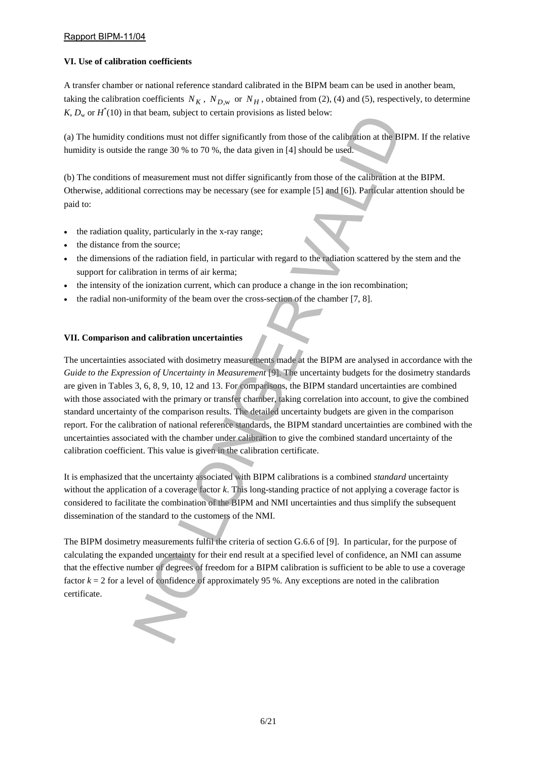#### Rapport BIPM-11/04

#### **VI. Use of calibration coefficients**

A transfer chamber or national reference standard calibrated in the BIPM beam can be used in another beam, taking the calibration coefficients  $N_K$ ,  $N_{D,w}$  or  $N_H$ , obtained from (2), (4) and (5), respectively, to determine *K*,  $D_w$  or  $H^*(10)$  in that beam, subject to certain provisions as listed below:

(a) The humidity conditions must not differ significantly from those of the calibration at the BIPM. If the relative humidity is outside the range 30 % to 70 %, the data given in [4] should be used.

(b) The conditions of measurement must not differ significantly from those of the calibration at the BIPM. Otherwise, additional corrections may be necessary (see for example [5] and [6]). Particular attention should be paid to:

- the radiation quality, particularly in the x-ray range;
- the distance from the source;
- the dimensions of the radiation field, in particular with regard to the radiation scattered by the stem and the support for calibration in terms of air kerma;
- the intensity of the ionization current, which can produce a change in the ion recombination;
- the radial non-uniformity of the beam over the cross-section of the chamber [7, 8].

#### **VII. Comparison and calibration uncertainties**

The uncertainties associated with dosimetry measurements made at the BIPM are analysed in accordance with the *Guide to the Expression of Uncertainty in Measurement* [9]. The uncertainty budgets for the dosimetry standards are given in Tables 3, 6, 8, 9, 10, 12 and 13. For comparisons, the BIPM standard uncertainties are combined with those associated with the primary or transfer chamber, taking correlation into account, to give the combined standard uncertainty of the comparison results. The detailed uncertainty budgets are given in the comparison report. For the calibration of national reference standards, the BIPM standard uncertainties are combined with the uncertainties associated with the chamber under calibration to give the combined standard uncertainty of the calibration coefficient. This value is given in the calibration certificate. nia waan, surges to exercut provisions as neared to the calibration at the B<br>the range 30 % to 70 %, the data given in [4] should be used.<br>The range 30 % to 70 %, the data given in [4] should be used.<br>The range 30 % to 70

It is emphasized that the uncertainty associated with BIPM calibrations is a combined *standard* uncertainty without the application of a coverage factor *k*. This long-standing practice of not applying a coverage factor is considered to facilitate the combination of the BIPM and NMI uncertainties and thus simplify the subsequent dissemination of the standard to the customers of the NMI.

The BIPM dosimetry measurements fulfil the criteria of section G.6.6 of [9]. In particular, for the purpose of calculating the expanded uncertainty for their end result at a specified level of confidence, an NMI can assume that the effective number of degrees of freedom for a BIPM calibration is sufficient to be able to use a coverage factor *k* = 2 for a level of confidence of approximately 95 %. Any exceptions are noted in the calibration certificate.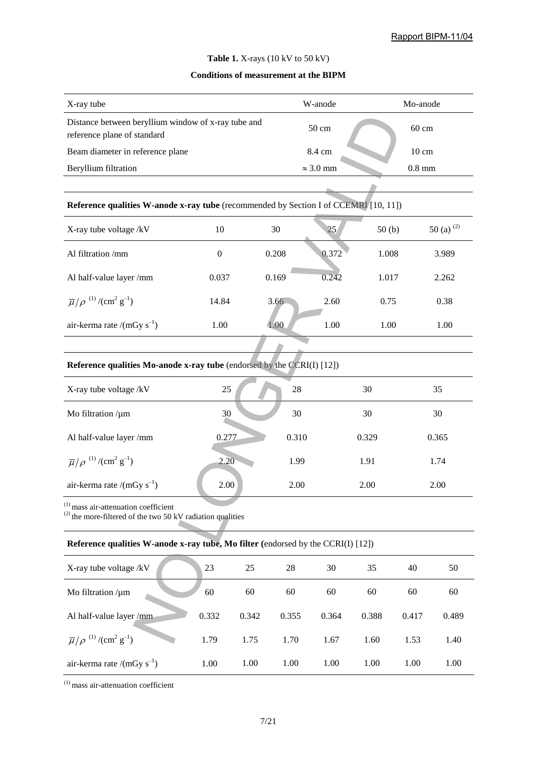#### **Table 1.** X-rays (10 kV to 50 kV)

#### **Conditions of measurement at the BIPM**

| X-ray tube                                                                         | W-anode          | Mo-anode        |
|------------------------------------------------------------------------------------|------------------|-----------------|
| Distance between beryllium window of x-ray tube and<br>reference plane of standard | $50 \text{ cm}$  | $60 \text{ cm}$ |
| Beam diameter in reference plane                                                   | 8.4 cm           | $10 \text{ cm}$ |
| Beryllium filtration                                                               | $\approx$ 3.0 mm | $0.8$ mm        |

## **Reference qualities W-anode x-ray tube** (recommended by Section I of CCEMRI [10, 11])

| Distance between beryllium window of x-ray tube and<br>reference plane of standard                        |                  |       |       | 50 cm            |       | 60 cm           |                 |
|-----------------------------------------------------------------------------------------------------------|------------------|-------|-------|------------------|-------|-----------------|-----------------|
| Beam diameter in reference plane                                                                          |                  |       |       | 8.4 cm           |       | $10 \text{ cm}$ |                 |
| Beryllium filtration                                                                                      |                  |       |       | $\approx$ 3.0 mm |       | $0.8$ mm        |                 |
|                                                                                                           |                  |       |       |                  |       |                 |                 |
| Reference qualities W-anode x-ray tube (recommended by Section I of CCEMRI [10, 11])                      |                  |       |       |                  |       |                 |                 |
| X-ray tube voltage /kV                                                                                    | 10               |       | 30    | 25               | 50(b) |                 | 50 (a) $^{(2)}$ |
| Al filtration /mm                                                                                         | $\boldsymbol{0}$ |       | 0.208 | 0.372            | 1.008 |                 | 3.989           |
| Al half-value layer /mm                                                                                   | 0.037            |       | 0.169 | 0.242            | 1.017 |                 | 2.262           |
| $\overline{\mu}/\rho$ <sup>(1)</sup> /(cm <sup>2</sup> g <sup>-1</sup> )                                  | 14.84            |       | 3.66  | 2.60             | 0.75  |                 | 0.38            |
| air-kerma rate /(mGy $s^{-1}$ )                                                                           | 1.00             |       | 1.00  | 1.00             | 1.00  |                 | 1.00            |
|                                                                                                           |                  |       |       |                  |       |                 |                 |
| Reference qualities Mo-anode x-ray tube (endorsed by the CCRI(I) [12])                                    |                  |       |       |                  |       |                 |                 |
| X-ray tube voltage /kV                                                                                    | 25               |       | 28    |                  | 30    |                 | 35              |
| Mo filtration $/\mu$ m                                                                                    | 30               |       | 30    |                  | 30    |                 | 30              |
| Al half-value layer /mm                                                                                   | 0.277            |       | 0.310 |                  | 0.329 |                 | 0.365           |
| $\overline{\mu}/\rho$ <sup>(1)</sup> /(cm <sup>2</sup> g <sup>-1</sup> )                                  | 2.20             |       | 1.99  |                  | 1.91  |                 | 1.74            |
| air-kerma rate /(mGy $s^{-1}$ )                                                                           | 2.00             |       | 2.00  |                  | 2.00  |                 | 2.00            |
| $(1)$ mass air-attenuation coefficient<br>$^{(2)}$ the more-filtered of the two 50 kV radiation qualities |                  |       |       |                  |       |                 |                 |
| Reference qualities W-anode x-ray tube, Mo filter (endorsed by the CCRI(I) [12])                          |                  |       |       |                  |       |                 |                 |
| X-ray tube voltage /kV                                                                                    | 23               | 25    | 28    | 30               | 35    | 40              | 50              |
| Mo filtration $/\mu$ m                                                                                    | 60               | 60    | 60    | 60               | 60    | 60              | 60              |
| Al half-value layer /mm                                                                                   | 0.332            | 0.342 | 0.355 | 0.364            | 0.388 | 0.417           | 0.489           |
| $\overline{\mu}/\rho$ <sup>(1)</sup> /(cm <sup>2</sup> g <sup>-1</sup> )                                  | 1.79             | 1.75  | 1.70  | 1.67             | 1.60  | 1.53            | 1.40            |

### **Reference qualities Mo-anode x-ray tube** (endorsed by the CCRI(I) [12])

| X-ray tube voltage $/kV$                                            | 25    | 28    | 30    | 35    |
|---------------------------------------------------------------------|-------|-------|-------|-------|
| Mo filtration $/\mu$ m                                              | 30    | 30    | 30    | 30    |
| Al half-value layer/mm                                              | 0.277 | 0.310 | 0.329 | 0.365 |
| $\bar{\mu}/\rho$ <sup>(1)</sup> /(cm <sup>2</sup> g <sup>-1</sup> ) | 2.20  | 1.99  | 1.91  | 1.74  |
| air-kerma rate /(mGy $s^{-1}$ )                                     | 2.00  | 2.00  | 2.00  | 2.00  |

#### **Reference qualities W-anode x-ray tube, Mo filter (**endorsed by the CCRI(I) [12])

| X-ray tube voltage /kV                                              | 23    | 25    | 28    | 30    | 35    | 40    | 50    |
|---------------------------------------------------------------------|-------|-------|-------|-------|-------|-------|-------|
| Mo filtration $/\mu$ m                                              | 60    | 60    | 60    | 60    | 60    | 60    | 60    |
| Al half-value layer /mm                                             | 0.332 | 0.342 | 0.355 | 0.364 | 0.388 | 0.417 | 0.489 |
| $\bar{\mu}/\rho$ <sup>(1)</sup> /(cm <sup>2</sup> g <sup>-1</sup> ) | 1.79  | 1.75  | 1.70  | 1.67  | 1.60  | 1.53  | 1.40  |
| air-kerma rate /(mGy $s^{-1}$ )                                     | 1.00  | 1.00  | 1.00  | 1.00  | 1.00  | 1.00  | 1.00  |

(1) mass air-attenuation coefficient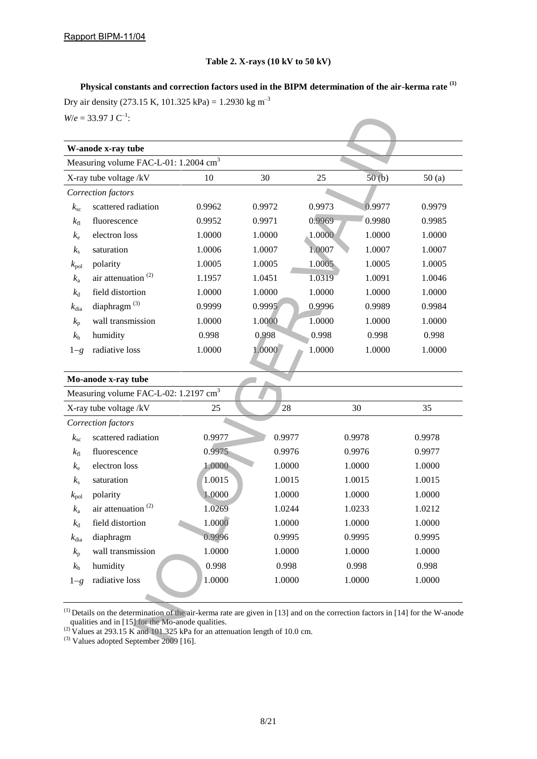#### **Table 2. X-rays (10 kV to 50 kV)**

**Physical constants and correction factors used in the BIPM determination of the air-kerma rate (1)** Dry air density (273.15 K, 101.325 kPa) = 1.2930 kg m<sup>-3</sup>  $W/e = 33.97$  J C<sup>-1</sup>:

|                  | W-anode x-ray tube                                |        |        |        |        |        |
|------------------|---------------------------------------------------|--------|--------|--------|--------|--------|
|                  | Measuring volume FAC-L-01: 1.2004 cm <sup>3</sup> |        |        |        |        |        |
|                  | X-ray tube voltage /kV                            | 10     | 30     | 25     | 50(b)  | 50(a)  |
|                  | Correction factors                                |        |        |        |        |        |
| $k_{\rm sc}$     | scattered radiation                               | 0.9962 | 0.9972 | 0.9973 | 0.9977 | 0.9979 |
| $k_{\rm fl}$     | fluorescence                                      | 0.9952 | 0.9971 | 0.9969 | 0.9980 | 0.9985 |
| $k_{\rm e}$      | electron loss                                     | 1.0000 | 1.0000 | 1.0000 | 1.0000 | 1.0000 |
| $k_{\rm s}$      | saturation                                        | 1.0006 | 1.0007 | 1.0007 | 1.0007 | 1.0007 |
| $k_{\rm pol}$    | polarity                                          | 1.0005 | 1.0005 | 1.0005 | 1.0005 | 1.0005 |
| $k_{\rm a}$      | air attenuation $(2)$                             | 1.1957 | 1.0451 | 1.0319 | 1.0091 | 1.0046 |
| $k_{\rm d}$      | field distortion                                  | 1.0000 | 1.0000 | 1.0000 | 1.0000 | 1.0000 |
| $k_{\text{dia}}$ | diaphragm <sup>(3)</sup>                          | 0.9999 | 0.9995 | 0.9996 | 0.9989 | 0.9984 |
| $k_{\rm p}$      | wall transmission                                 | 1.0000 | 1.0000 | 1.0000 | 1.0000 | 1.0000 |
| $k_{\rm h}$      | humidity                                          | 0.998  | 0.998  | 0.998  | 0.998  | 0.998  |
| $1-g$            | radiative loss                                    | 1.0000 | 1.0000 | 1.0000 | 1.0000 | 1.0000 |
|                  |                                                   |        |        |        |        |        |
|                  | Mo-anode x-ray tube                               |        |        |        |        |        |
|                  | Measuring volume FAC-L-02: 1.2197 cm <sup>3</sup> |        |        |        |        |        |
|                  | X-ray tube voltage /kV                            | 25     | 28     |        | 30     | 35     |
|                  | Correction factors                                |        |        |        |        |        |
| $k_{\rm sc}$     | scattered radiation                               | 0.9977 | 0.9977 |        | 0.9978 | 0.9978 |
| $k_{\rm fl}$     | fluorescence                                      | 0.9975 | 0.9976 |        | 0.9976 | 0.9977 |
| $k_{\rm e}$      | electron loss                                     | 1.0000 | 1.0000 |        | 1.0000 | 1.0000 |
| $k_{\rm s}$      | saturation                                        | 1.0015 | 1.0015 |        | 1.0015 | 1.0015 |
| $k_{\rm pol}$    | polarity                                          | 1.0000 | 1.0000 |        | 1.0000 | 1.0000 |
| $k_{\rm a}$      | air attenuation $(2)$                             | 1.0269 | 1.0244 |        | 1.0233 | 1.0212 |
| $k_{\rm d}$      | field distortion                                  | 1.0000 | 1.0000 |        | 1.0000 | 1.0000 |
|                  | diaphragm                                         | 0.9996 | 0.9995 |        | 0.9995 | 0.9995 |
| $k_{\text{dia}}$ | wall transmission                                 | 1.0000 | 1.0000 |        | 1.0000 | 1.0000 |
| $k_{p}$          |                                                   |        | 0.998  |        | 0.998  | 0.998  |
| $k_{\rm h}$      | humidity                                          | 0.998  |        |        |        |        |
| $1-g$            | radiative loss                                    | 1.0000 | 1.0000 |        | 1.0000 | 1.0000 |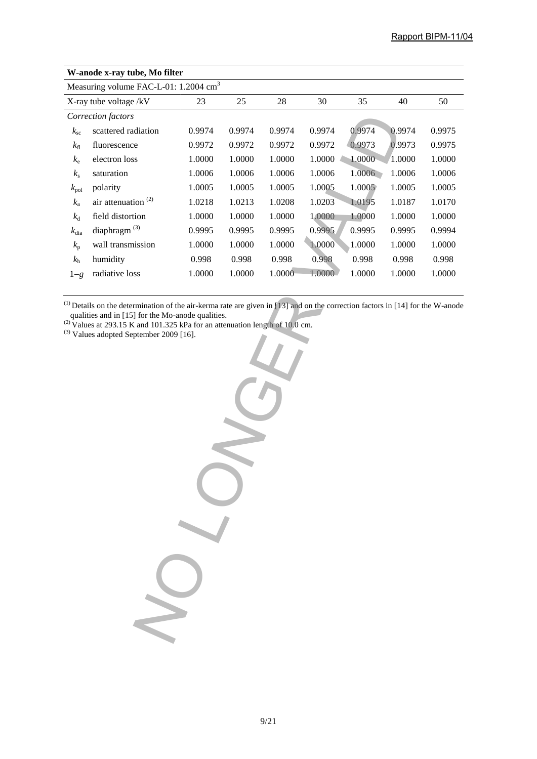|                                                                                                                                                                                                                                                                                                                                           | W-anode x-ray tube, Mo filter                     |        |        |        |        |            |        |        |
|-------------------------------------------------------------------------------------------------------------------------------------------------------------------------------------------------------------------------------------------------------------------------------------------------------------------------------------------|---------------------------------------------------|--------|--------|--------|--------|------------|--------|--------|
|                                                                                                                                                                                                                                                                                                                                           | Measuring volume FAC-L-01: 1.2004 cm <sup>3</sup> |        |        |        |        |            |        |        |
|                                                                                                                                                                                                                                                                                                                                           | X-ray tube voltage /kV                            | 23     | 25     | 28     | 30     | 35         | 40     | 50     |
|                                                                                                                                                                                                                                                                                                                                           | Correction factors                                |        |        |        |        |            |        |        |
| $k_{\rm sc}$                                                                                                                                                                                                                                                                                                                              | scattered radiation                               | 0.9974 | 0.9974 | 0.9974 | 0.9974 | 0.9974     | 0.9974 | 0.9975 |
| $k_{\rm fl}$                                                                                                                                                                                                                                                                                                                              | fluorescence                                      | 0.9972 | 0.9972 | 0.9972 | 0.9972 | 0.9973     | 0.9973 | 0.9975 |
| $k_{\rm e}$                                                                                                                                                                                                                                                                                                                               | electron loss                                     | 1.0000 | 1.0000 | 1.0000 | 1.0000 | $1.0000 -$ | 1.0000 | 1.0000 |
| $k_{\rm s}$                                                                                                                                                                                                                                                                                                                               | saturation                                        | 1.0006 | 1.0006 | 1.0006 | 1.0006 | 1.0006     | 1.0006 | 1.0006 |
| $k_{\rm pol}$                                                                                                                                                                                                                                                                                                                             | polarity                                          | 1.0005 | 1.0005 | 1.0005 | 1.0005 | 1.0005     | 1.0005 | 1.0005 |
| $k_{\rm a}$                                                                                                                                                                                                                                                                                                                               | air attenuation <sup>(2)</sup>                    | 1.0218 | 1.0213 | 1.0208 | 1.0203 | 1.0195     | 1.0187 | 1.0170 |
| $k_{\rm d}$                                                                                                                                                                                                                                                                                                                               | field distortion                                  | 1.0000 | 1.0000 | 1.0000 | 1.0000 | 1.0000     | 1.0000 | 1.0000 |
| $k_{\text{dia}}$                                                                                                                                                                                                                                                                                                                          | diaphragm $^{(3)}$                                | 0.9995 | 0.9995 | 0.9995 | 0.9995 | 0.9995     | 0.9995 | 0.9994 |
| $k_{\rm p}$                                                                                                                                                                                                                                                                                                                               | wall transmission                                 | 1.0000 | 1.0000 | 1.0000 | 1.0000 | 1.0000     | 1.0000 | 1.0000 |
| $k_{\rm h}$                                                                                                                                                                                                                                                                                                                               | humidity                                          | 0.998  | 0.998  | 0.998  | 0.998  | 0.998      | 0.998  | 0.998  |
| $1-g$                                                                                                                                                                                                                                                                                                                                     | radiative loss                                    | 1.0000 | 1.0000 | 1.0000 | 1.0000 | 1.0000     | 1.0000 | 1.0000 |
| <sup>(1)</sup> Details on the determination of the air-kerma rate are given in [13] and on the correction factors in [14] for the W-anode<br>qualities and in [15] for the Mo-anode qualities.<br><sup>(2)</sup> Values at 293.15 K and 101.325 kPa for an attenuation length of 10.0 cm.<br>$^{(3)}$ Values adopted September 2009 [16]. |                                                   |        |        |        |        |            |        |        |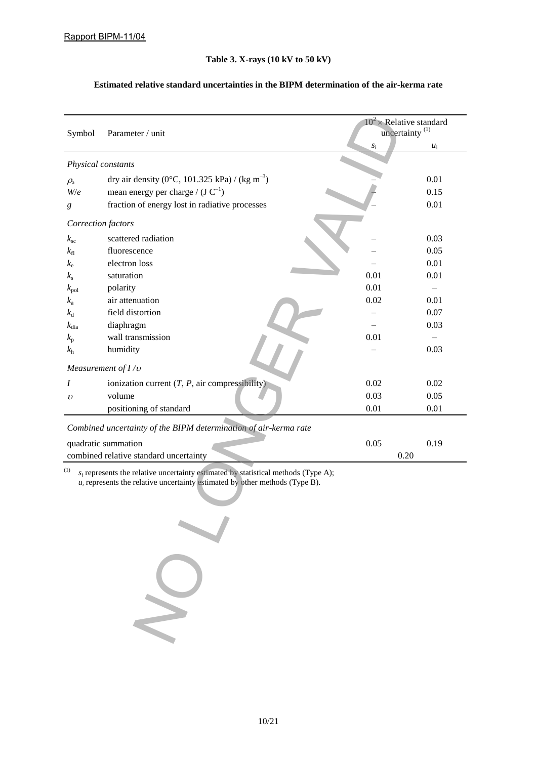#### **Table 3. X-rays (10 kV to 50 kV)**

| Symbol             | Parameter / unit                                                                                                                                                       | $10^2 \times$ Relative standard<br>uncertainty <sup>(1)</sup> |       |  |  |
|--------------------|------------------------------------------------------------------------------------------------------------------------------------------------------------------------|---------------------------------------------------------------|-------|--|--|
|                    |                                                                                                                                                                        | $s_{\rm i}$                                                   | $u_i$ |  |  |
| Physical constants |                                                                                                                                                                        |                                                               |       |  |  |
| $\rho_{\rm a}$     | dry air density (0°C, 101.325 kPa) / (kg m <sup>-3</sup> )                                                                                                             |                                                               | 0.01  |  |  |
| W/e                | mean energy per charge / $(J C^{-1})$                                                                                                                                  |                                                               | 0.15  |  |  |
| g                  | fraction of energy lost in radiative processes                                                                                                                         |                                                               | 0.01  |  |  |
| Correction factors |                                                                                                                                                                        |                                                               |       |  |  |
| $k_{\rm sc}$       | scattered radiation                                                                                                                                                    |                                                               | 0.03  |  |  |
| $k_{\rm fl}$       | fluorescence                                                                                                                                                           |                                                               | 0.05  |  |  |
| $k_{\rm e}$        | electron loss                                                                                                                                                          |                                                               | 0.01  |  |  |
| $k_{\rm s}$        | saturation                                                                                                                                                             | 0.01                                                          | 0.01  |  |  |
| $k_{\rm pol}$      | polarity                                                                                                                                                               | 0.01                                                          |       |  |  |
| $k_{\rm a}$        | air attenuation                                                                                                                                                        | 0.02                                                          | 0.01  |  |  |
| $k_{\rm d}$        | field distortion                                                                                                                                                       |                                                               | 0.07  |  |  |
| $k_{\rm dia}$      | diaphragm                                                                                                                                                              |                                                               | 0.03  |  |  |
| $k_{\rm p}$        | wall transmission                                                                                                                                                      | 0.01                                                          |       |  |  |
| $k_{\rm h}$        | humidity                                                                                                                                                               |                                                               | 0.03  |  |  |
|                    | ITI<br>Measurement of $I/v$                                                                                                                                            |                                                               |       |  |  |
| $\boldsymbol{I}$   | ionization current $(T, P, \text{air compressibility})$                                                                                                                | 0.02                                                          | 0.02  |  |  |
| $\upsilon$         | volume                                                                                                                                                                 | 0.03                                                          | 0.05  |  |  |
|                    | positioning of standard                                                                                                                                                | 0.01                                                          | 0.01  |  |  |
|                    | Combined uncertainty of the BIPM determination of air-kerma rate                                                                                                       |                                                               |       |  |  |
|                    | quadratic summation                                                                                                                                                    | 0.05                                                          | 0.19  |  |  |
|                    | combined relative standard uncertainty                                                                                                                                 |                                                               | 0.20  |  |  |
| (1)                | $s_i$ represents the relative uncertainty estimated by statistical methods (Type A);<br>$u_i$ represents the relative uncertainty estimated by other methods (Type B). |                                                               |       |  |  |
|                    |                                                                                                                                                                        |                                                               |       |  |  |
|                    |                                                                                                                                                                        |                                                               |       |  |  |
|                    |                                                                                                                                                                        |                                                               |       |  |  |

### **Estimated relative standard uncertainties in the BIPM determination of the air-kerma rate**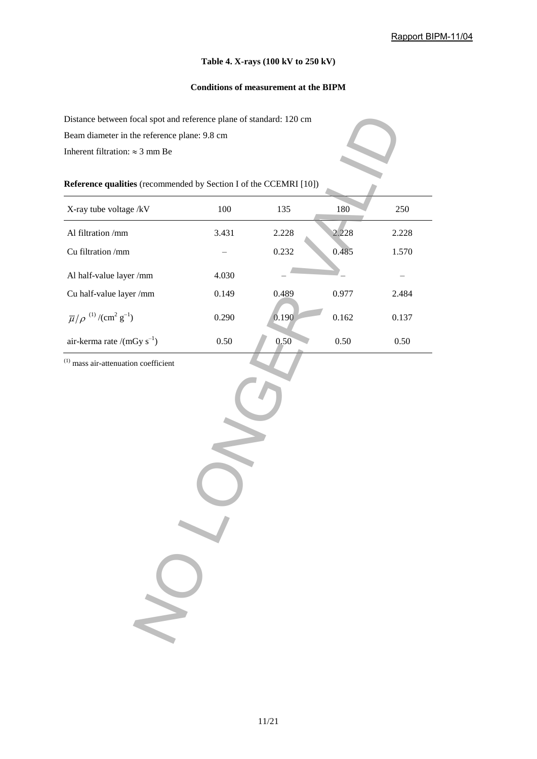#### **Table 4. X-rays (100 kV to 250 kV)**

### **Conditions of measurement at the BIPM**

### **Reference qualities** (recommended by Section I of the CCEMRI [10])

| Distance between focal spot and reference plane of standard: 120 cm      |       |       |       |       |  |  |  |
|--------------------------------------------------------------------------|-------|-------|-------|-------|--|--|--|
| Beam diameter in the reference plane: 9.8 cm                             |       |       |       |       |  |  |  |
| Inherent filtration: $\approx$ 3 mm Be                                   |       |       |       |       |  |  |  |
|                                                                          |       |       |       |       |  |  |  |
| Reference qualities (recommended by Section I of the CCEMRI [10])        |       |       |       |       |  |  |  |
| X-ray tube voltage /kV                                                   | 100   | 135   | 180   | 250   |  |  |  |
| Al filtration /mm                                                        | 3.431 | 2.228 | 2.228 | 2.228 |  |  |  |
| Cu filtration /mm                                                        |       | 0.232 | 0.485 | 1.570 |  |  |  |
| Al half-value layer /mm                                                  | 4.030 |       |       |       |  |  |  |
| Cu half-value layer /mm                                                  | 0.149 | 0.489 | 0.977 | 2.484 |  |  |  |
| $\overline{\mu}/\rho$ <sup>(1)</sup> /(cm <sup>2</sup> g <sup>-1</sup> ) | 0.290 | 0.190 | 0.162 | 0.137 |  |  |  |
| air-kerma rate /(mGy $s^{-1}$ )                                          | 0.50  | 0.50  | 0.50  | 0.50  |  |  |  |
| $^{(1)}$ mass air-attenuation coefficient                                |       |       |       |       |  |  |  |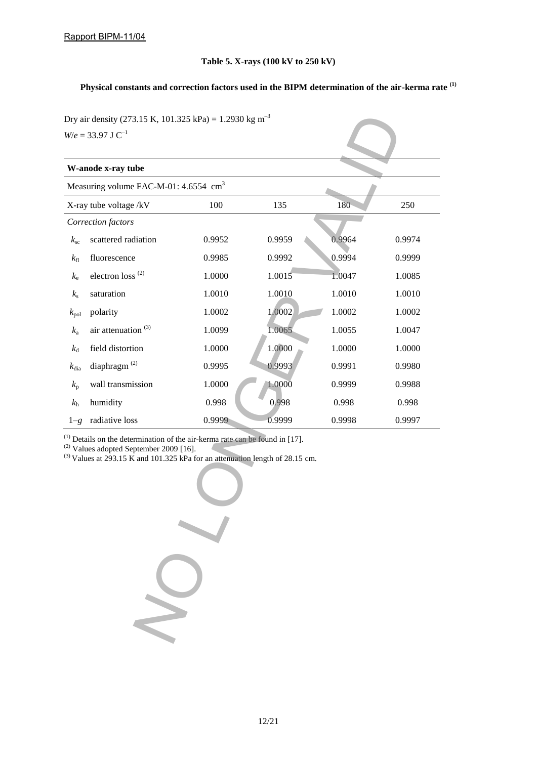#### **Table 5. X-rays (100 kV to 250 kV)**

# **Physical constants and correction factors used in the BIPM determination of the air-kerma rate (1)**

Dry air density (273.15 K, 101.325 kPa) = 1.2930 kg m<sup>-3</sup> *W*/ $e = 33.97$  J  $C^{-1}$ 

|                                                                                                                                                                                                                         | Dry air density (273.15 K, 101.325 kPa) = 1.2930 kg m <sup>-3</sup><br>$W/e = 33.97$ J C <sup>-1</sup> |        |        |         |        |  |  |
|-------------------------------------------------------------------------------------------------------------------------------------------------------------------------------------------------------------------------|--------------------------------------------------------------------------------------------------------|--------|--------|---------|--------|--|--|
|                                                                                                                                                                                                                         | W-anode x-ray tube                                                                                     |        |        |         |        |  |  |
|                                                                                                                                                                                                                         | Measuring volume FAC-M-01: 4.6554 cm <sup>3</sup>                                                      |        |        |         |        |  |  |
|                                                                                                                                                                                                                         | X-ray tube voltage /kV                                                                                 | 100    | 135    | $180 -$ | 250    |  |  |
|                                                                                                                                                                                                                         | Correction factors                                                                                     |        |        |         |        |  |  |
| $k_{\rm sc}$                                                                                                                                                                                                            | scattered radiation                                                                                    | 0.9952 | 0.9959 | 0.9964  | 0.9974 |  |  |
| $k_{\rm fl}$                                                                                                                                                                                                            | fluorescence                                                                                           | 0.9985 | 0.9992 | 0.9994  | 0.9999 |  |  |
| $k_{\rm e}$                                                                                                                                                                                                             | electron loss <sup>(2)</sup>                                                                           | 1.0000 | 1.0015 | 1.0047  | 1.0085 |  |  |
| $k_{\rm s}$                                                                                                                                                                                                             | saturation                                                                                             | 1.0010 | 1.0010 | 1.0010  | 1.0010 |  |  |
| $k_{\rm pol}$                                                                                                                                                                                                           | polarity                                                                                               | 1.0002 | 1.0002 | 1.0002  | 1.0002 |  |  |
| $k_{\rm a}$                                                                                                                                                                                                             | air attenuation <sup>(3)</sup>                                                                         | 1.0099 | 1.0065 | 1.0055  | 1.0047 |  |  |
| $k_{\rm d}$                                                                                                                                                                                                             | field distortion                                                                                       | 1.0000 | 1.0000 | 1.0000  | 1.0000 |  |  |
| $k_{\text{dia}}$                                                                                                                                                                                                        | diaphragm $^{(2)}$                                                                                     | 0.9995 | 0.9993 | 0.9991  | 0.9980 |  |  |
| $k_{p}$                                                                                                                                                                                                                 | wall transmission                                                                                      | 1.0000 | 1.0000 | 0.9999  | 0.9988 |  |  |
| $k_{\rm h}$                                                                                                                                                                                                             | humidity                                                                                               | 0.998  | 0.998  | 0.998   | 0.998  |  |  |
| $1-g$                                                                                                                                                                                                                   | radiative loss                                                                                         | 0.9999 | 0.9999 | 0.9998  | 0.9997 |  |  |
| $^{(1)}$ Details on the determination of the air-kerma rate can be found in [17].<br>$^{(2)}$ Values adopted September 2009 [16].<br>$^{(3)}$ Values at 293.15 K and 101.325 kPa for an attenuation length of 28.15 cm. |                                                                                                        |        |        |         |        |  |  |
|                                                                                                                                                                                                                         |                                                                                                        |        |        |         |        |  |  |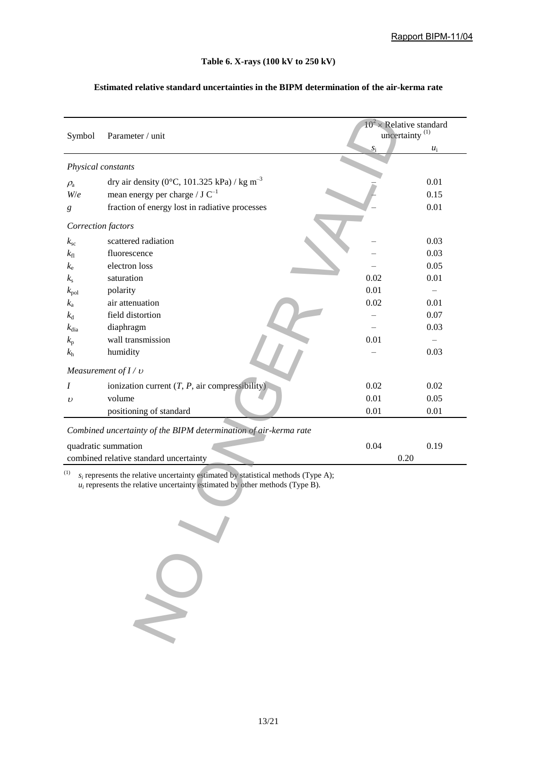#### **Table 6. X-rays (100 kV to 250 kV)**

| Symbol             | Parameter / unit                                                                                                                                                       | $10^2 \times$ Relative standard<br>uncertainty <sup>(1)</sup> |       |  |
|--------------------|------------------------------------------------------------------------------------------------------------------------------------------------------------------------|---------------------------------------------------------------|-------|--|
|                    |                                                                                                                                                                        | $S_1$                                                         | $u_i$ |  |
| Physical constants |                                                                                                                                                                        |                                                               |       |  |
| $\rho_{\rm a}$     | dry air density (0°C, 101.325 kPa) / kg m <sup>-3</sup>                                                                                                                |                                                               | 0.01  |  |
| W/e                | mean energy per charge / $J C^{-1}$                                                                                                                                    |                                                               | 0.15  |  |
| 8                  | fraction of energy lost in radiative processes                                                                                                                         |                                                               | 0.01  |  |
| Correction factors |                                                                                                                                                                        |                                                               |       |  |
| $k_{\rm sc}$       | scattered radiation                                                                                                                                                    |                                                               | 0.03  |  |
| $k_{\rm fl}$       | fluorescence                                                                                                                                                           |                                                               | 0.03  |  |
| $k_{\rm e}$        | electron loss                                                                                                                                                          |                                                               | 0.05  |  |
| $k_{\rm s}$        | saturation                                                                                                                                                             | 0.02                                                          | 0.01  |  |
| $k_{\rm pol}$      | polarity                                                                                                                                                               | 0.01                                                          |       |  |
| $k_{\rm a}$        | air attenuation                                                                                                                                                        | 0.02                                                          | 0.01  |  |
| $k_{\rm d}$        | field distortion                                                                                                                                                       |                                                               | 0.07  |  |
| $k_{\text{dia}}$   | diaphragm                                                                                                                                                              |                                                               | 0.03  |  |
| $k_{\rm p}$        | wall transmission                                                                                                                                                      | 0.01                                                          |       |  |
| $k_{\rm h}$        | humidity                                                                                                                                                               |                                                               | 0.03  |  |
|                    | IT<br>Measurement of $I / v$                                                                                                                                           |                                                               |       |  |
| Ι                  | ionization current $(T, P, \text{air compressibility})$                                                                                                                | 0.02                                                          | 0.02  |  |
| $\upsilon$         | volume                                                                                                                                                                 | 0.01                                                          | 0.05  |  |
|                    | positioning of standard                                                                                                                                                | 0.01                                                          | 0.01  |  |
|                    | Combined uncertainty of the BIPM determination of air-kerma rate                                                                                                       |                                                               |       |  |
|                    | quadratic summation                                                                                                                                                    | 0.04                                                          | 0.19  |  |
|                    | combined relative standard uncertainty                                                                                                                                 | 0.20                                                          |       |  |
| (1)                | $s_i$ represents the relative uncertainty estimated by statistical methods (Type A);<br>$u_i$ represents the relative uncertainty estimated by other methods (Type B). |                                                               |       |  |
|                    |                                                                                                                                                                        |                                                               |       |  |
|                    |                                                                                                                                                                        |                                                               |       |  |

### **Estimated relative standard uncertainties in the BIPM determination of the air-kerma rate**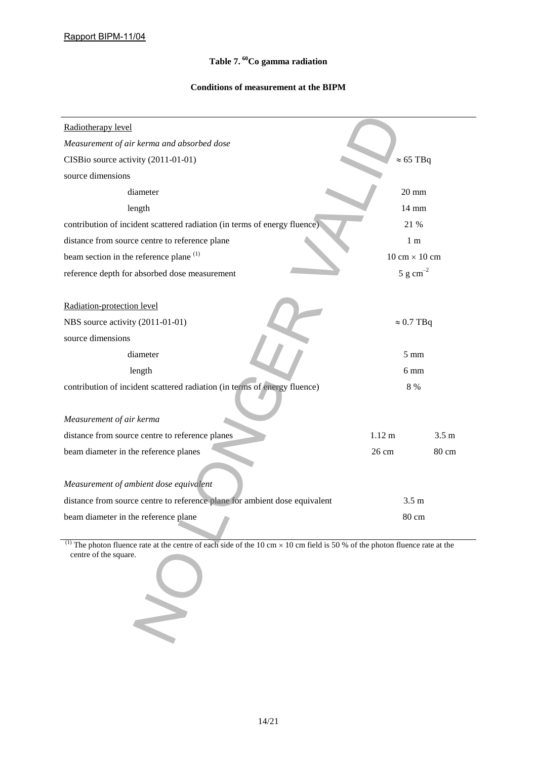## **Table 7. <sup>60</sup>Co gamma radiation**

### **Conditions of measurement at the BIPM**

| Radiotherapy level                                                                                                                                      |                                      |                  |
|---------------------------------------------------------------------------------------------------------------------------------------------------------|--------------------------------------|------------------|
| Measurement of air kerma and absorbed dose                                                                                                              |                                      |                  |
| CISBio source activity (2011-01-01)                                                                                                                     | $\approx 65$ TBq                     |                  |
| source dimensions                                                                                                                                       |                                      |                  |
| diameter                                                                                                                                                | $20 \text{ mm}$                      |                  |
| length                                                                                                                                                  | 14 mm                                |                  |
| contribution of incident scattered radiation (in terms of energy fluence)                                                                               | 21 %                                 |                  |
| distance from source centre to reference plane                                                                                                          | 1 <sub>m</sub>                       |                  |
| beam section in the reference plane <sup>(1)</sup>                                                                                                      | $10 \text{ cm} \times 10 \text{ cm}$ |                  |
| reference depth for absorbed dose measurement                                                                                                           | 5 g $cm^{-2}$                        |                  |
| Radiation-protection level<br>NBS source activity (2011-01-01)<br>source dimensions                                                                     | $\approx 0.7$ TBq                    |                  |
| diameter                                                                                                                                                | $5 \text{ mm}$                       |                  |
| length                                                                                                                                                  | 6 mm                                 |                  |
| contribution of incident scattered radiation (in terms of energy fluence)                                                                               | $8\ \%$                              |                  |
|                                                                                                                                                         |                                      |                  |
| Measurement of air kerma                                                                                                                                |                                      |                  |
| distance from source centre to reference planes                                                                                                         | $1.12 \text{ m}$                     | 3.5 <sub>m</sub> |
| beam diameter in the reference planes                                                                                                                   | 26 cm                                | 80 cm            |
| Measurement of ambient dose equivalent                                                                                                                  |                                      |                  |
| distance from source centre to reference plane for ambient dose equivalent                                                                              | 3.5 <sub>m</sub>                     |                  |
| beam diameter in the reference plane                                                                                                                    | 80 cm                                |                  |
| The photon fluence rate at the centre of each side of the 10 cm $\times$ 10 cm field is 50 % of the photon fluence rate at the<br>centre of the square. |                                      |                  |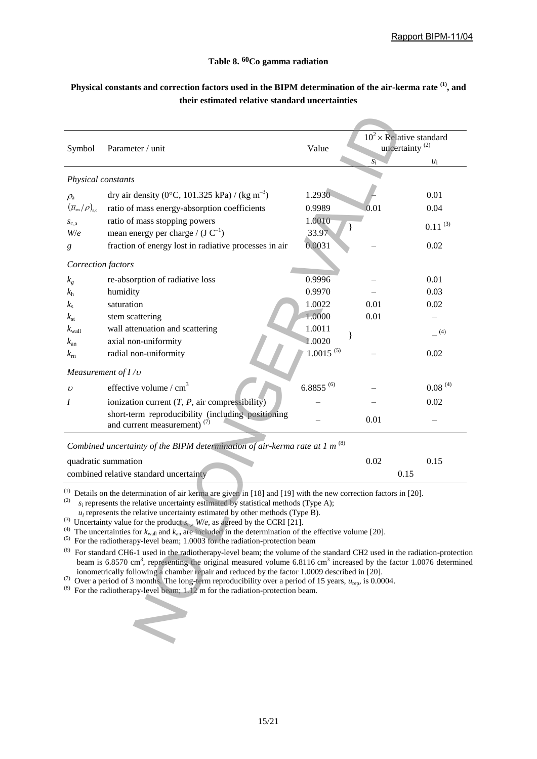#### **Table 8. 60Co gamma radiation**

| Symbol                                                                 | Parameter / unit                                                                                                                                                                                                                                                                                                                                                                                                                                                                                                                                                                                                                                                                                                                                                                                                                                                                                                                                                                                                                                                                                                                                   | Value          |             | $10^2 \times$ Relative standard<br>uncertainty <sup>(2)</sup> |
|------------------------------------------------------------------------|----------------------------------------------------------------------------------------------------------------------------------------------------------------------------------------------------------------------------------------------------------------------------------------------------------------------------------------------------------------------------------------------------------------------------------------------------------------------------------------------------------------------------------------------------------------------------------------------------------------------------------------------------------------------------------------------------------------------------------------------------------------------------------------------------------------------------------------------------------------------------------------------------------------------------------------------------------------------------------------------------------------------------------------------------------------------------------------------------------------------------------------------------|----------------|-------------|---------------------------------------------------------------|
|                                                                        |                                                                                                                                                                                                                                                                                                                                                                                                                                                                                                                                                                                                                                                                                                                                                                                                                                                                                                                                                                                                                                                                                                                                                    |                | $s_{\rm i}$ | $u_i$                                                         |
|                                                                        | Physical constants                                                                                                                                                                                                                                                                                                                                                                                                                                                                                                                                                                                                                                                                                                                                                                                                                                                                                                                                                                                                                                                                                                                                 |                |             |                                                               |
| $\rho_{\rm a}$                                                         | dry air density (0°C, 101.325 kPa) / (kg m <sup>-3</sup> )                                                                                                                                                                                                                                                                                                                                                                                                                                                                                                                                                                                                                                                                                                                                                                                                                                                                                                                                                                                                                                                                                         | 1.2930         |             | 0.01                                                          |
| $\left(\overline{\mu}_{\text{\tiny en}}/\rho\right)_{\text{\tiny ac}}$ | ratio of mass energy-absorption coefficients                                                                                                                                                                                                                                                                                                                                                                                                                                                                                                                                                                                                                                                                                                                                                                                                                                                                                                                                                                                                                                                                                                       | 0.9989         | 0.01        | 0.04                                                          |
| $S_{c,a}$                                                              | ratio of mass stopping powers                                                                                                                                                                                                                                                                                                                                                                                                                                                                                                                                                                                                                                                                                                                                                                                                                                                                                                                                                                                                                                                                                                                      | 1.0010         |             | $0.11^{(3)}$                                                  |
| W/e                                                                    | mean energy per charge / $(J C^{-1})$                                                                                                                                                                                                                                                                                                                                                                                                                                                                                                                                                                                                                                                                                                                                                                                                                                                                                                                                                                                                                                                                                                              | 33.97          |             |                                                               |
| g                                                                      | fraction of energy lost in radiative processes in air                                                                                                                                                                                                                                                                                                                                                                                                                                                                                                                                                                                                                                                                                                                                                                                                                                                                                                                                                                                                                                                                                              | 0.0031         |             | 0.02                                                          |
|                                                                        | Correction factors                                                                                                                                                                                                                                                                                                                                                                                                                                                                                                                                                                                                                                                                                                                                                                                                                                                                                                                                                                                                                                                                                                                                 |                |             |                                                               |
| $k_{g}$                                                                | re-absorption of radiative loss                                                                                                                                                                                                                                                                                                                                                                                                                                                                                                                                                                                                                                                                                                                                                                                                                                                                                                                                                                                                                                                                                                                    | 0.9996         |             | 0.01                                                          |
| $k_{\rm h}$                                                            | humidity                                                                                                                                                                                                                                                                                                                                                                                                                                                                                                                                                                                                                                                                                                                                                                                                                                                                                                                                                                                                                                                                                                                                           | 0.9970         |             | 0.03                                                          |
| $k_{\rm s}$                                                            | saturation                                                                                                                                                                                                                                                                                                                                                                                                                                                                                                                                                                                                                                                                                                                                                                                                                                                                                                                                                                                                                                                                                                                                         | 1.0022         | 0.01        | 0.02                                                          |
| $k_{\rm st}$                                                           | stem scattering                                                                                                                                                                                                                                                                                                                                                                                                                                                                                                                                                                                                                                                                                                                                                                                                                                                                                                                                                                                                                                                                                                                                    | 1.0000         | 0.01        |                                                               |
| $k_{\text{wall}}$                                                      | wall attenuation and scattering                                                                                                                                                                                                                                                                                                                                                                                                                                                                                                                                                                                                                                                                                                                                                                                                                                                                                                                                                                                                                                                                                                                    | 1.0011<br>ł    |             | (4)                                                           |
| $k_{\rm an}$                                                           | axial non-uniformity                                                                                                                                                                                                                                                                                                                                                                                                                                                                                                                                                                                                                                                                                                                                                                                                                                                                                                                                                                                                                                                                                                                               | 1.0020         |             |                                                               |
| $k_{\rm rn}$                                                           | radial non-uniformity                                                                                                                                                                                                                                                                                                                                                                                                                                                                                                                                                                                                                                                                                                                                                                                                                                                                                                                                                                                                                                                                                                                              | $1.0015^{(5)}$ |             | 0.02                                                          |
|                                                                        | Measurement of $I/v$                                                                                                                                                                                                                                                                                                                                                                                                                                                                                                                                                                                                                                                                                                                                                                                                                                                                                                                                                                                                                                                                                                                               |                |             |                                                               |
| $\upsilon$                                                             | effective volume / cm <sup>3</sup>                                                                                                                                                                                                                                                                                                                                                                                                                                                                                                                                                                                                                                                                                                                                                                                                                                                                                                                                                                                                                                                                                                                 | $6.8855^{(6)}$ |             | $0.08^{(4)}$                                                  |
| I                                                                      | ionization current $(T, P, \text{air compressibility})$                                                                                                                                                                                                                                                                                                                                                                                                                                                                                                                                                                                                                                                                                                                                                                                                                                                                                                                                                                                                                                                                                            |                |             | 0.02                                                          |
|                                                                        | short-term reproducibility (including positioning<br>and current measurement) <sup>(7)</sup>                                                                                                                                                                                                                                                                                                                                                                                                                                                                                                                                                                                                                                                                                                                                                                                                                                                                                                                                                                                                                                                       |                | 0.01        |                                                               |
|                                                                        | Combined uncertainty of the BIPM determination of air-kerma rate at 1 $m^{(8)}$                                                                                                                                                                                                                                                                                                                                                                                                                                                                                                                                                                                                                                                                                                                                                                                                                                                                                                                                                                                                                                                                    |                |             |                                                               |
|                                                                        | quadratic summation                                                                                                                                                                                                                                                                                                                                                                                                                                                                                                                                                                                                                                                                                                                                                                                                                                                                                                                                                                                                                                                                                                                                |                | 0.02        | 0.15                                                          |
|                                                                        | combined relative standard uncertainty                                                                                                                                                                                                                                                                                                                                                                                                                                                                                                                                                                                                                                                                                                                                                                                                                                                                                                                                                                                                                                                                                                             |                |             | 0.15                                                          |
| $\left(1\right)$<br>(2)<br>$^{(4)}$<br>(5)<br>(6)<br>(7)<br>(8)        | Details on the determination of air kerma are given in [18] and [19] with the new correction factors in [20].<br>$s_i$ represents the relative uncertainty estimated by statistical methods (Type A);<br>$u_i$ represents the relative uncertainty estimated by other methods (Type B).<br>Uncertainty value for the product $s_{e,a}$ W/e, as agreed by the CCRI [21].<br>The uncertainties for $k_{wall}$ and $k_{an}$ are included in the determination of the effective volume [20].<br>For the radiotherapy-level beam; 1.0003 for the radiation-protection beam<br>For standard CH6-1 used in the radiotherapy-level beam; the volume of the standard CH2 used in the radiation-protection<br>beam is 6.8570 cm <sup>3</sup> , representing the original measured volume 6.8116 cm <sup>3</sup> increased by the factor 1.0076 determine<br>ionometrically following a chamber repair and reduced by the factor 1.0009 described in [20].<br>Over a period of 3 months. The long-term reproducibility over a period of 15 years, $u_{\text{rep}}$ , is 0.0004.<br>For the radiotherapy-level beam; 1.12 m for the radiation-protection beam. |                |             |                                                               |

### **Physical constants and correction factors used in the BIPM determination of the air-kerma rate (1), and their estimated relative standard uncertainties**

| quadratic summation                    |  |  |
|----------------------------------------|--|--|
| combined relative standard uncertainty |  |  |

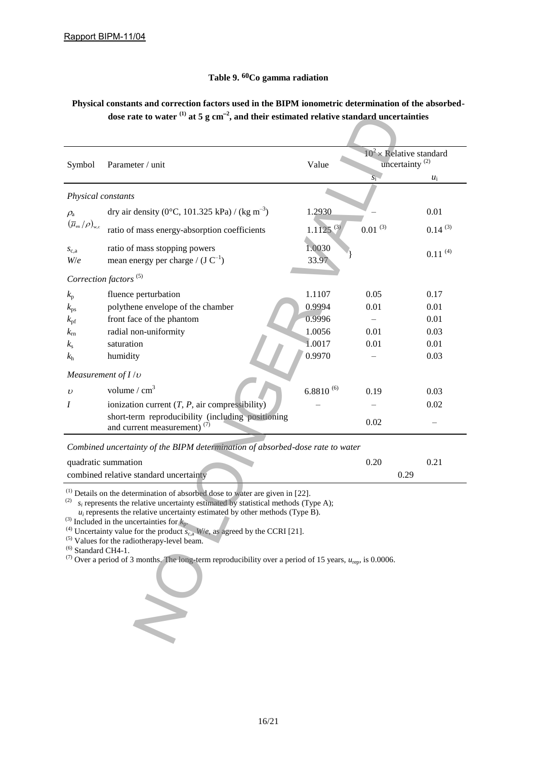### **Table 9. 60Co gamma radiation**

### **Physical constants and correction factors used in the BIPM ionometric determination of the absorbeddose rate to water (1) at 5 g cm<sup>2</sup> , and their estimated relative standard uncertainties**

|                                                                            | dose rate to water $\binom{11}{1}$ at 5 g cm <sup>-2</sup> , and their estimated relative standard uncertainties                                                                                                                                                                                                                                                                                                                                                                                                                                                                      |                                    |                                                         |              |  |
|----------------------------------------------------------------------------|---------------------------------------------------------------------------------------------------------------------------------------------------------------------------------------------------------------------------------------------------------------------------------------------------------------------------------------------------------------------------------------------------------------------------------------------------------------------------------------------------------------------------------------------------------------------------------------|------------------------------------|---------------------------------------------------------|--------------|--|
| Symbol                                                                     | Parameter / unit                                                                                                                                                                                                                                                                                                                                                                                                                                                                                                                                                                      | Value                              | $10^2 \times$ Relative standard<br>uncertainty $^{(2)}$ |              |  |
|                                                                            |                                                                                                                                                                                                                                                                                                                                                                                                                                                                                                                                                                                       |                                    | $S_1^-$                                                 | $u_i$        |  |
| Physical constants                                                         |                                                                                                                                                                                                                                                                                                                                                                                                                                                                                                                                                                                       |                                    |                                                         |              |  |
| $\rho_{\rm a}$                                                             | dry air density (0°C, 101.325 kPa) / (kg m <sup>-3</sup> )                                                                                                                                                                                                                                                                                                                                                                                                                                                                                                                            | 1.2930                             |                                                         | 0.01         |  |
| $\left(\overline{\mu}_{\text{\rm en}}\left/\rho\right)_{\text{\tiny W,C}}$ | ratio of mass energy-absorption coefficients                                                                                                                                                                                                                                                                                                                                                                                                                                                                                                                                          | $1.1\overline{125}$ <sup>(3)</sup> | $0.01^{(3)}$                                            | $0.14^{(3)}$ |  |
| $S_{c,a}$<br>W/e                                                           | ratio of mass stopping powers<br>mean energy per charge / $(J C^{-1})$                                                                                                                                                                                                                                                                                                                                                                                                                                                                                                                | 1.0030<br>33.97                    |                                                         | $0.11^{(4)}$ |  |
|                                                                            | Correction factors <sup>(5)</sup>                                                                                                                                                                                                                                                                                                                                                                                                                                                                                                                                                     |                                    |                                                         |              |  |
| $k_{p}$                                                                    | fluence perturbation                                                                                                                                                                                                                                                                                                                                                                                                                                                                                                                                                                  | 1.1107                             | 0.05                                                    | 0.17         |  |
| $k_{\rm ps}$                                                               | polythene envelope of the chamber                                                                                                                                                                                                                                                                                                                                                                                                                                                                                                                                                     | 0.9994                             | 0.01                                                    | 0.01         |  |
| $k_{\rm pf}$                                                               | front face of the phantom                                                                                                                                                                                                                                                                                                                                                                                                                                                                                                                                                             | 0.9996                             |                                                         | 0.01         |  |
| $k_{\rm rn}$                                                               | radial non-uniformity                                                                                                                                                                                                                                                                                                                                                                                                                                                                                                                                                                 | 1.0056                             | 0.01                                                    | 0.03         |  |
| $k_{\rm s}$                                                                | saturation                                                                                                                                                                                                                                                                                                                                                                                                                                                                                                                                                                            | 1.0017                             | 0.01                                                    | 0.01         |  |
| $k_{\rm h}$                                                                | humidity                                                                                                                                                                                                                                                                                                                                                                                                                                                                                                                                                                              | 0.9970                             |                                                         | 0.03         |  |
|                                                                            | Measurement of $I/v$                                                                                                                                                                                                                                                                                                                                                                                                                                                                                                                                                                  |                                    |                                                         |              |  |
| $\upsilon$                                                                 | volume / $cm3$                                                                                                                                                                                                                                                                                                                                                                                                                                                                                                                                                                        | $6.8810^{(6)}$                     | 0.19                                                    | 0.03         |  |
| Ι                                                                          | ionization current $(T, P, \text{air compressibility})$                                                                                                                                                                                                                                                                                                                                                                                                                                                                                                                               |                                    |                                                         | 0.02         |  |
|                                                                            | short-term reproducibility (including positioning<br>and current measurement) <sup>(7)</sup>                                                                                                                                                                                                                                                                                                                                                                                                                                                                                          |                                    | 0.02                                                    |              |  |
|                                                                            | Combined uncertainty of the BIPM determination of absorbed-dose rate to water                                                                                                                                                                                                                                                                                                                                                                                                                                                                                                         |                                    |                                                         |              |  |
|                                                                            | quadratic summation                                                                                                                                                                                                                                                                                                                                                                                                                                                                                                                                                                   |                                    | 0.20                                                    | 0.21         |  |
|                                                                            | combined relative standard uncertainty                                                                                                                                                                                                                                                                                                                                                                                                                                                                                                                                                |                                    | 0.29                                                    |              |  |
| (2)<br>(3)<br>(4)<br>$(6)$ Standard CH4-1.                                 | $(1)$ Details on the determination of absorbed dose to water are given in [22].<br>$s_i$ represents the relative uncertainty estimated by statistical methods (Type A);<br>$u_i$ represents the relative uncertainty estimated by other methods (Type B).<br>Included in the uncertainties for $k_p$ .<br>Uncertainty value for the product $s_{c,a}$ W/e, as agreed by the CCRI [21].<br>$(5)$ Values for the radiotherapy-level beam.<br><sup>(7)</sup> Over a period of 3 months. The long-term reproducibility over a period of 15 years, $u_{\text{rep}}$ , is 0.0006.<br>$\geq$ |                                    |                                                         |              |  |

| quadratic summation                    |  |
|----------------------------------------|--|
| combined relative standard uncertainty |  |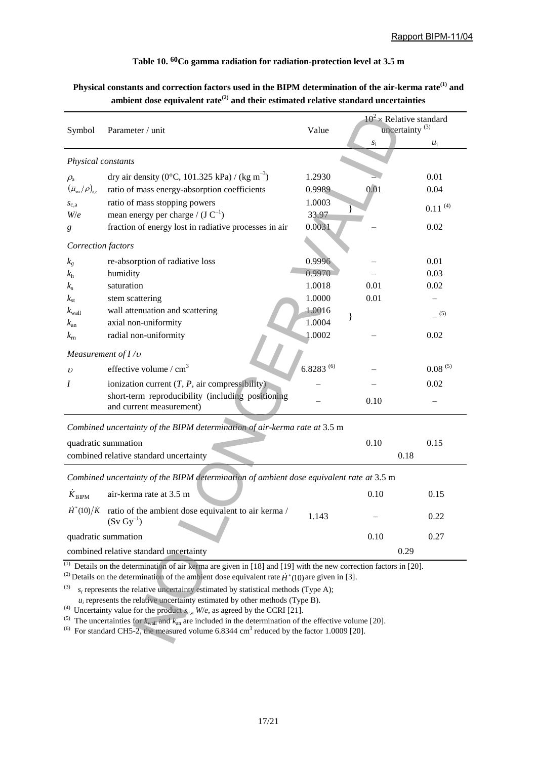### **Table 10. 60Co gamma radiation for radiation-protection level at 3.5 m**

|                                                                             |                                                                                         |                | $10^2 \times$ Relative standard |              |
|-----------------------------------------------------------------------------|-----------------------------------------------------------------------------------------|----------------|---------------------------------|--------------|
| Symbol                                                                      | Parameter / unit                                                                        | Value          | uncertainty $^{(3)}$            |              |
|                                                                             |                                                                                         |                | $S_{\rm i}$                     | $u_i$        |
| Physical constants                                                          |                                                                                         |                |                                 |              |
| $\rho_{\rm a}$                                                              | dry air density (0°C, 101.325 kPa) / (kg m <sup>-3</sup> )                              | 1.2930         |                                 | 0.01         |
| $\left(\overline{\mu}_{\textrm{\tiny en}}/\rho\right)_{\textrm{\tiny a,c}}$ | ratio of mass energy-absorption coefficients                                            | 0.9989         | 0.01                            | 0.04         |
| $S_{c,a}$                                                                   | ratio of mass stopping powers                                                           | 1.0003         |                                 | $0.11^{(4)}$ |
| W/e                                                                         | mean energy per charge / $(J C^{-1})$                                                   | 33.97          |                                 |              |
| g                                                                           | fraction of energy lost in radiative processes in air                                   | 0.0031         |                                 | 0.02         |
| Correction factors                                                          |                                                                                         |                |                                 |              |
| $k_{g}$                                                                     | re-absorption of radiative loss                                                         | 0.9996         |                                 | 0.01         |
| k <sub>h</sub>                                                              | humidity                                                                                | 0.9970         |                                 | 0.03         |
| $k_{\rm s}$                                                                 | saturation                                                                              | 1.0018         | 0.01                            | $0.02\,$     |
| $k_{\rm st}$                                                                | stem scattering                                                                         | 1.0000         | 0.01                            |              |
| $k_{\text{wall}}$                                                           | wall attenuation and scattering                                                         | 1.0016         |                                 | (5)          |
| $k_{\rm an}$                                                                | axial non-uniformity                                                                    | 1.0004         | }                               |              |
| $k_{\rm rn}$                                                                | radial non-uniformity                                                                   | 1.0002         |                                 | 0.02         |
|                                                                             | Measurement of $I/v$                                                                    |                |                                 |              |
| $\upsilon$                                                                  | effective volume / $cm3$                                                                | $6.8283^{(6)}$ |                                 | $0.08^{(5)}$ |
| I                                                                           | ionization current $(T, P, \text{air compressibility})$                                 |                |                                 | 0.02         |
|                                                                             | short-term reproducibility (including positioning<br>and current measurement)           |                | 0.10                            |              |
|                                                                             |                                                                                         |                |                                 |              |
|                                                                             | Combined uncertainty of the BIPM determination of air-kerma rate at 3.5 m               |                |                                 |              |
|                                                                             | quadratic summation                                                                     |                | 0.10                            | 0.15         |
|                                                                             | combined relative standard uncertainty                                                  |                | 0.18                            |              |
|                                                                             | Combined uncertainty of the BIPM determination of ambient dose equivalent rate at 3.5 m |                |                                 |              |
| $K_{\rm BIPM}$                                                              | air-kerma rate at 3.5 m                                                                 |                | 0.10                            | 0.15         |
| $\dot{H}^*(10)/\dot{K}$                                                     | ratio of the ambient dose equivalent to air kerma /<br>$(Sv Gy^{-1})$                   | 1.143          |                                 | 0.22         |
|                                                                             | quadratic summation                                                                     |                | 0.10                            | 0.27         |
|                                                                             | combined relative standard uncertainty                                                  |                | 0.29                            |              |

# **Physical constants and correction factors used in the BIPM determination of the air-kerma rate(1) and ambient dose equivalent rate(2) and their estimated relative standard uncertainties**

<sup>(1)</sup> Details on the determination of air kerma are given in [18] and [19] with the new correction factors in [20]. combined relative standard uncertainty<br>Details on the determination of air kerma are given in |<br>Details on the determination of the ambient dose equivariants<br> $s_i$  represents the relative uncertainty estimated by othe<br>Unce

<sup>(2)</sup> Details on the determination of the ambient dose equivalent rate  $\dot{H}^*(10)$  are given in [3].

 $^{(3)}$   $s_i$  represents the relative uncertainty estimated by statistical methods (Type A);

 *u<sup>i</sup>*  $u_i$  represents the relative uncertainty estimated by other methods (Type B).

<sup>(4)</sup> Uncertainty value for the product  $s_{c,a}$  *W/e*, as agreed by the CCRI [21].<br><sup>(5)</sup> The uncertainties for  $k_{wall}$  and  $k_{an}$  are included in the determination of the effective volume [20].

<sup>(6)</sup> For standard CH5-2, the measured volume  $6.8344 \text{ cm}^3$  reduced by the factor 1.0009 [20].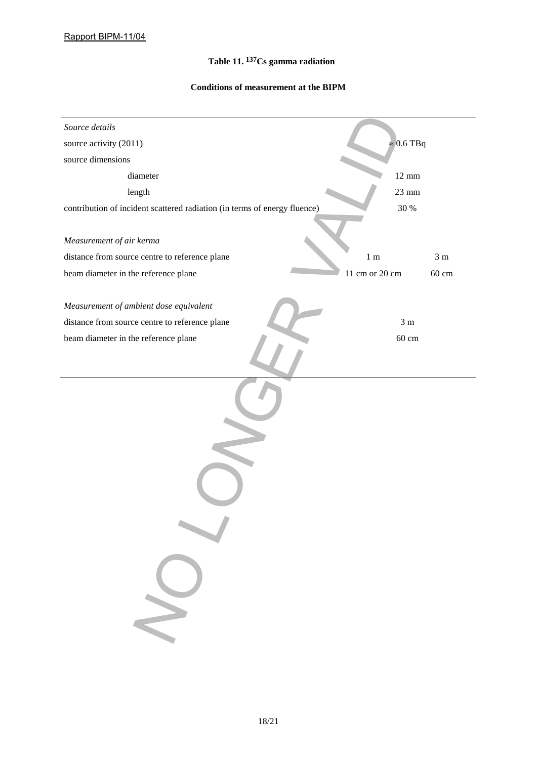# **Table 11. 137Cs gamma radiation**

### **Conditions of measurement at the BIPM**

| Source details                                                            |                |                   |              |
|---------------------------------------------------------------------------|----------------|-------------------|--------------|
| source activity (2011)                                                    |                | $\approx 0.6$ TBq |              |
| source dimensions                                                         |                |                   |              |
| diameter                                                                  |                | $12 \text{ mm}$   |              |
| length                                                                    |                | $23 \text{ mm}$   |              |
| contribution of incident scattered radiation (in terms of energy fluence) |                | 30 %              |              |
|                                                                           |                |                   |              |
| Measurement of air kerma                                                  |                |                   |              |
| distance from source centre to reference plane                            | $1 \text{ m}$  |                   | $3\ {\rm m}$ |
| beam diameter in the reference plane                                      | 11 cm or 20 cm |                   | 60 cm        |
|                                                                           |                |                   |              |
| Measurement of ambient dose equivalent                                    |                |                   |              |
| distance from source centre to reference plane                            |                | 3m                |              |
| beam diameter in the reference plane                                      |                | $60 \text{ cm}$   |              |
|                                                                           |                |                   |              |
|                                                                           |                |                   |              |
|                                                                           |                |                   |              |
|                                                                           |                |                   |              |
|                                                                           |                |                   |              |
|                                                                           |                |                   |              |
|                                                                           |                |                   |              |
|                                                                           |                |                   |              |
|                                                                           |                |                   |              |
|                                                                           |                |                   |              |
|                                                                           |                |                   |              |
|                                                                           |                |                   |              |
|                                                                           |                |                   |              |
|                                                                           |                |                   |              |
|                                                                           |                |                   |              |
|                                                                           |                |                   |              |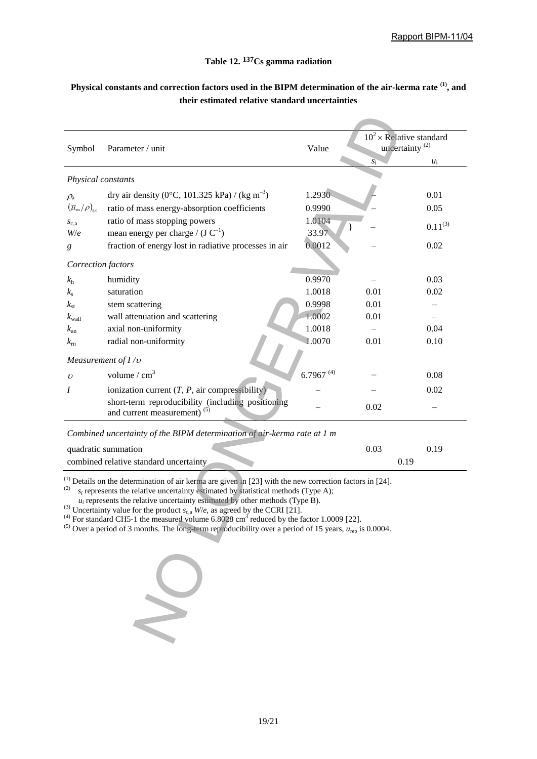#### **Table 12. 137Cs gamma radiation**

| Symbol                                                                      | Parameter / unit                                                                                                                                                                                                                                                                                                                                                                                                                                                                                                                                                                                                             | Value        | $10^2 \times$ Relative standard<br>uncertainty $^{(2)}$ |              |
|-----------------------------------------------------------------------------|------------------------------------------------------------------------------------------------------------------------------------------------------------------------------------------------------------------------------------------------------------------------------------------------------------------------------------------------------------------------------------------------------------------------------------------------------------------------------------------------------------------------------------------------------------------------------------------------------------------------------|--------------|---------------------------------------------------------|--------------|
|                                                                             |                                                                                                                                                                                                                                                                                                                                                                                                                                                                                                                                                                                                                              |              | $s_{\rm i}$                                             | $u_i$        |
| Physical constants                                                          |                                                                                                                                                                                                                                                                                                                                                                                                                                                                                                                                                                                                                              |              |                                                         |              |
| $\rho_{\rm a}$                                                              | dry air density (0°C, 101.325 kPa) / (kg m <sup>-3</sup> )                                                                                                                                                                                                                                                                                                                                                                                                                                                                                                                                                                   | 1.2930       |                                                         | 0.01         |
| $\left(\overline{\mu}_{\textrm{\tiny en}}/\rho\right)_{\textrm{\tiny a,c}}$ | ratio of mass energy-absorption coefficients                                                                                                                                                                                                                                                                                                                                                                                                                                                                                                                                                                                 | 0.9990       |                                                         | 0.05         |
| $S_{c,a}$                                                                   | ratio of mass stopping powers                                                                                                                                                                                                                                                                                                                                                                                                                                                                                                                                                                                                | 1.0104       |                                                         | $0.11^{(3)}$ |
| W/e                                                                         | mean energy per charge / $(J C^{-1})$                                                                                                                                                                                                                                                                                                                                                                                                                                                                                                                                                                                        | 33.97        |                                                         |              |
| g                                                                           | fraction of energy lost in radiative processes in air                                                                                                                                                                                                                                                                                                                                                                                                                                                                                                                                                                        | 0.0012       |                                                         | 0.02         |
| Correction factors                                                          |                                                                                                                                                                                                                                                                                                                                                                                                                                                                                                                                                                                                                              |              |                                                         |              |
| $k_{\rm h}$                                                                 | humidity                                                                                                                                                                                                                                                                                                                                                                                                                                                                                                                                                                                                                     | 0.9970       |                                                         | 0.03         |
| $k_{\rm s}$                                                                 | saturation                                                                                                                                                                                                                                                                                                                                                                                                                                                                                                                                                                                                                   | 1.0018       | 0.01                                                    | 0.02         |
| $k_{\rm st}$                                                                | stem scattering                                                                                                                                                                                                                                                                                                                                                                                                                                                                                                                                                                                                              | 0.9998       | 0.01                                                    |              |
| $k_{\text{wall}}$                                                           | wall attenuation and scattering                                                                                                                                                                                                                                                                                                                                                                                                                                                                                                                                                                                              | 1.0002       | 0.01                                                    |              |
| $k_{\rm an}$                                                                | axial non-uniformity                                                                                                                                                                                                                                                                                                                                                                                                                                                                                                                                                                                                         | 1.0018       |                                                         | 0.04         |
| $k_{\rm rn}$                                                                | radial non-uniformity                                                                                                                                                                                                                                                                                                                                                                                                                                                                                                                                                                                                        | 1.0070       | 0.01                                                    | 0.10         |
|                                                                             | Measurement of $I/v$                                                                                                                                                                                                                                                                                                                                                                                                                                                                                                                                                                                                         |              |                                                         |              |
| $\boldsymbol{\upsilon}$                                                     | volume / $cm3$                                                                                                                                                                                                                                                                                                                                                                                                                                                                                                                                                                                                               | 6.7967 $(4)$ |                                                         | 0.08         |
| I                                                                           | ionization current $(T, P, \text{air compressibility})$                                                                                                                                                                                                                                                                                                                                                                                                                                                                                                                                                                      |              |                                                         | 0.02         |
|                                                                             | short-term reproducibility (including positioning<br>and current measurement) <sup>(5)</sup>                                                                                                                                                                                                                                                                                                                                                                                                                                                                                                                                 |              | 0.02                                                    |              |
|                                                                             | Combined uncertainty of the BIPM determination of air-kerma rate at 1 m                                                                                                                                                                                                                                                                                                                                                                                                                                                                                                                                                      |              |                                                         |              |
|                                                                             | quadratic summation                                                                                                                                                                                                                                                                                                                                                                                                                                                                                                                                                                                                          |              | 0.03                                                    | 0.19         |
|                                                                             | combined relative standard uncertainty                                                                                                                                                                                                                                                                                                                                                                                                                                                                                                                                                                                       |              | 0.19                                                    |              |
| (2)                                                                         | $^{(1)}$ Details on the determination of air kerma are given in [23] with the new correction factors in [24].<br>$s_i$ represents the relative uncertainty estimated by statistical methods (Type A);<br>$u_i$ represents the relative uncertainty estimated by other methods (Type B).<br><sup>(3)</sup> Uncertainty value for the product $s_{c,a}$ W/e, as agreed by the CCRI [21].<br>For standard CH5-1 the measured volume 6.8028 cm <sup>3</sup> reduced by the factor 1.0009 [22].<br><sup>(5)</sup> Over a period of 3 months. The long-term reproducibility over a period of 15 years, $u_{\text{rep}}$ is 0.0004. |              |                                                         |              |
|                                                                             | N                                                                                                                                                                                                                                                                                                                                                                                                                                                                                                                                                                                                                            |              |                                                         |              |

# **Physical constants and correction factors used in the BIPM determination of the air-kerma rate (1), and their estimated relative standard uncertainties**

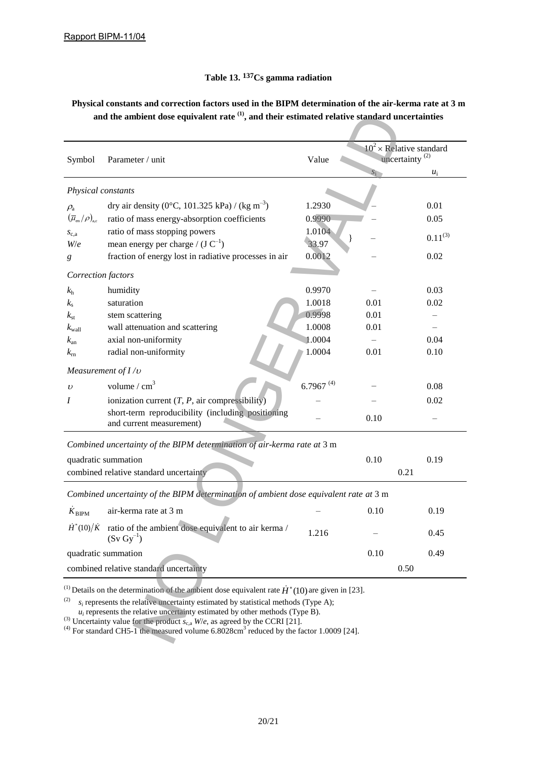### **Table 13. 137Cs gamma radiation**

**Physical constants and correction factors used in the BIPM determination of the air-kerma rate at 3 m and the ambient dose equivalent rate (1), and their estimated relative standard uncertainties** 

| Symbol                                                                      | Parameter / unit                                                                                                                                                                                                                                                                                                                                                                                                                                                                                             | Value        |      | $10^2 \times$ Relative standard<br>uncertainty <sup>(2)</sup> |  |
|-----------------------------------------------------------------------------|--------------------------------------------------------------------------------------------------------------------------------------------------------------------------------------------------------------------------------------------------------------------------------------------------------------------------------------------------------------------------------------------------------------------------------------------------------------------------------------------------------------|--------------|------|---------------------------------------------------------------|--|
|                                                                             |                                                                                                                                                                                                                                                                                                                                                                                                                                                                                                              |              |      | $u_i$                                                         |  |
| Physical constants                                                          |                                                                                                                                                                                                                                                                                                                                                                                                                                                                                                              |              |      |                                                               |  |
| $\rho_{\rm a}$                                                              | dry air density (0°C, 101.325 kPa) / (kg m <sup>-3</sup> )                                                                                                                                                                                                                                                                                                                                                                                                                                                   | 1.2930       |      | 0.01                                                          |  |
| $\left(\overline{\mu}_{\textrm{\tiny en}}/\rho\right)_{\textrm{\tiny a,c}}$ | ratio of mass energy-absorption coefficients                                                                                                                                                                                                                                                                                                                                                                                                                                                                 | 0.9990       |      | 0.05                                                          |  |
| $S_{c,a}$                                                                   | ratio of mass stopping powers                                                                                                                                                                                                                                                                                                                                                                                                                                                                                | 1.0104       |      | $0.11^{(3)}$                                                  |  |
| W/e                                                                         | mean energy per charge / $(J C^{-1})$                                                                                                                                                                                                                                                                                                                                                                                                                                                                        | 33.97        |      |                                                               |  |
| g                                                                           | fraction of energy lost in radiative processes in air                                                                                                                                                                                                                                                                                                                                                                                                                                                        | 0.0012       |      | 0.02                                                          |  |
| Correction factors                                                          |                                                                                                                                                                                                                                                                                                                                                                                                                                                                                                              |              |      |                                                               |  |
| $k_{\rm h}$                                                                 | humidity                                                                                                                                                                                                                                                                                                                                                                                                                                                                                                     | 0.9970       |      | 0.03                                                          |  |
| $k_{\rm s}$                                                                 | saturation                                                                                                                                                                                                                                                                                                                                                                                                                                                                                                   | 1.0018       | 0.01 | 0.02                                                          |  |
| $k_{\rm st}$                                                                | stem scattering                                                                                                                                                                                                                                                                                                                                                                                                                                                                                              | 0.9998       | 0.01 |                                                               |  |
| $k_{\text{wall}}$                                                           | wall attenuation and scattering                                                                                                                                                                                                                                                                                                                                                                                                                                                                              | 1.0008       | 0.01 |                                                               |  |
| $k_{\rm an}$                                                                | axial non-uniformity                                                                                                                                                                                                                                                                                                                                                                                                                                                                                         | 1.0004       |      | 0.04                                                          |  |
| $k_{\rm rn}$                                                                | radial non-uniformity                                                                                                                                                                                                                                                                                                                                                                                                                                                                                        | 1.0004       | 0.01 | 0.10                                                          |  |
|                                                                             | Measurement of $I/v$                                                                                                                                                                                                                                                                                                                                                                                                                                                                                         |              |      |                                                               |  |
| $\upsilon$                                                                  | volume / $cm3$                                                                                                                                                                                                                                                                                                                                                                                                                                                                                               | 6.7967 $(4)$ |      | 0.08                                                          |  |
| I                                                                           | ionization current $(T, P, \text{air compressibility})$                                                                                                                                                                                                                                                                                                                                                                                                                                                      |              |      | 0.02                                                          |  |
|                                                                             | short-term reproducibility (including positioning<br>and current measurement)                                                                                                                                                                                                                                                                                                                                                                                                                                |              | 0.10 |                                                               |  |
|                                                                             | Combined uncertainty of the BIPM determination of air-kerma rate at 3 m                                                                                                                                                                                                                                                                                                                                                                                                                                      |              |      |                                                               |  |
|                                                                             | quadratic summation                                                                                                                                                                                                                                                                                                                                                                                                                                                                                          |              | 0.10 | 0.19                                                          |  |
|                                                                             | combined relative standard uncertainty                                                                                                                                                                                                                                                                                                                                                                                                                                                                       |              |      | 0.21                                                          |  |
|                                                                             |                                                                                                                                                                                                                                                                                                                                                                                                                                                                                                              |              |      |                                                               |  |
|                                                                             | Combined uncertainty of the BIPM determination of ambient dose equivalent rate at 3 m                                                                                                                                                                                                                                                                                                                                                                                                                        |              |      |                                                               |  |
| $K_{\rm BIPM}$                                                              | air-kerma rate at 3 m                                                                                                                                                                                                                                                                                                                                                                                                                                                                                        |              | 0.10 | 0.19                                                          |  |
| $\dot{H}^*(10)/\dot{K}$                                                     | ratio of the ambient dose equivalent to air kerma /<br>$(Sv\ Gy^{-1})$                                                                                                                                                                                                                                                                                                                                                                                                                                       | 1.216        |      | 0.45                                                          |  |
|                                                                             | quadratic summation                                                                                                                                                                                                                                                                                                                                                                                                                                                                                          |              | 0.10 | 0.49                                                          |  |
|                                                                             | combined relative standard uncertainty                                                                                                                                                                                                                                                                                                                                                                                                                                                                       |              |      | 0.50                                                          |  |
| (2)                                                                         | <sup>(1)</sup> Details on the determination of the ambient dose equivalent rate $\dot{H}^*(10)$ are given in [23].<br>$s_i$ represents the relative uncertainty estimated by statistical methods (Type A);<br>$u_i$ represents the relative uncertainty estimated by other methods (Type B).<br><sup>(3)</sup> Uncertainty value for the product $s_{c,a}$ W/e, as agreed by the CCRI [21].<br><sup>(4)</sup> For standard CH5-1 the measured volume $6.8028 \text{cm}^3$ reduced by the factor 1.0009 [24]. |              |      |                                                               |  |

 $u_i$  $u_i$  represents the relative uncertainty estimated by other methods (Type B).

<sup>&</sup>lt;sup>(3)</sup> Uncertainty value for the product  $s_{c,a}$  *W/e*, as agreed by the CCRI [21].

reduced by the factor 1.0009 [24].